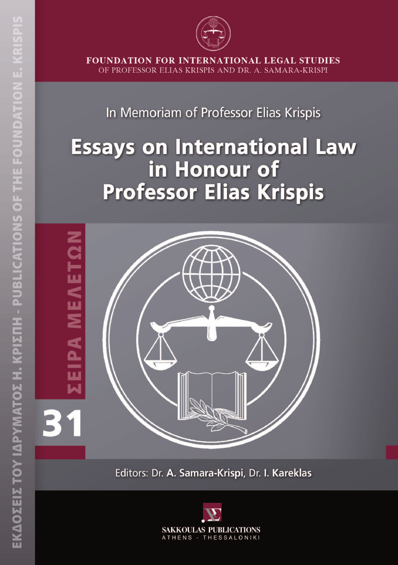

**FOUNDATION FOR INTERNATIONAL LEGAL STUDIES** OF PROFESSOR ELIAS KRISPIS AND DR. A. SAMARA-KRISPI

## In Memoriam of Professor Elias Krispis

# **Essays on International Law** in Honour of **Professor Elias Krispis**



Editors: Dr. A. Samara-Krispi, Dr. I. Kareklas

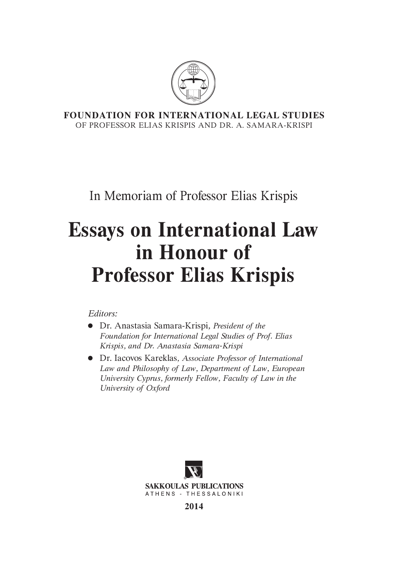

**FOUNDATION FOR INTERNATIONAL LEGAL STUDIES** OF PROFESSOR ELIAS KRISPIS AND DR. A. SAMARA-KRISPI

In Memoriam of Professor Elias Krispis

## **Essays on International Law in Honour of Professor Elias Krispis**

*Editors:* 

- Dr. Anastasia Samara-Krispi*, President of the Foundation for International Legal Studies of Prof. Elias Krispis, and Dr. Anastasia Samara-Krispi*
- Dr. Iacovos Kareklas*, Associate Professor of International Law and Philosophy of Law, Department of Law, European University Cyprus, formerly Fellow, Faculty of Law in the University of Oxford*



**2014**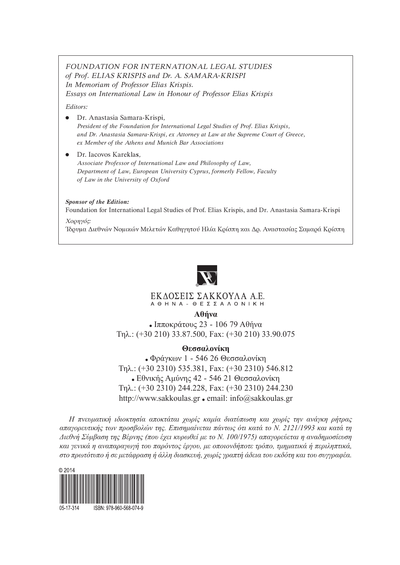#### *FOUNDATION FOR INTERNATIONAL LEGAL STUDIES of Prof. ELIAS KRISPIS and Dr. A. SAMARA-KRISPI In Memoriam of Professor Elias Krispis. Essays on International Law in Honour of Professor Elias Krispis*

*Editors:* 

- Dr. Anastasia Samara-Krispi*, President of the Foundation for International Legal Studies of Prof. Elias Krispis, and Dr. Anastasia Samara-Krispi, ex Attorney at Law at the Supreme Court of Greece, ex Member of the Athens and Munich Bar Associations*
- Dr. Iacovos Karekla**s***, Associate Professor of International Law and Philosophy of Law, Department of Law, European University Cyprus, formerly Fellow, Faculty of Law in the University of Oxford*

#### *Sponsor of the Edition:*

Foundation for International Legal Studies of Prof. Elias Krispis, and Dr. Anastasia Samara-Krispi *Χορηγός:* 

Ίδρυμα ∆ιεθνών Νομικών Μελετών Καθηγητού Ηλία Κρίσπη και ∆ρ. Αναστασίας Σαμαρά Κρίσπη



#### ΕΚΔΟΣΕΙΣ ΣΑΚΚΟΥΛΑ Α.Ε. A  $\Theta$  H N A -  $\Theta$  E  $\Sigma$   $\Sigma$  A  $\Lambda$  O N | K H

**Aθήνα**

Ιπποκράτους 23 - 106 79 Αθήνα Τηλ.: (+30 210) 33.87.500, Fax: (+30 210) 33.90.075

#### **Θεσσαλονίκη**

Φράγκων 1 - 546 26 Θεσσαλονίκη Τηλ.: (+30 2310) 535.381, Fax: (+30 2310) 546.812 Εθνικής Αμύνης 42 - 546 21 Θεσσαλονίκη Τηλ.: (+30 2310) 244.228, Fax: (+30 2310) 244.230 http://www.sakkoulas.gr · email: info@sakkoulas.gr

*H πνευματική ιδιοκτησία αποκτάται χωρίς καμία διατύπωση και χωρίς την ανάγκη ρήτρας απαγορευτικής των προσβολών της. Επισημαίνεται πάντως ότι κατά το Ν. 2121/1993 και κατά τη Διεθνή Σύμβαση της Βέρνης (που έχει κυρωθεί με το Ν. 100/1975) απαγορεύεται η αναδημοσίευση και γενικά η αναπαραγωγή του παρόντος έργου, με οποιονδήποτε τρόπο, τμηματικά ή περιληπτικά, στο πρωτότυπο ή σε μετάφραση ή άλλη διασκευή, χωρίς γραπτή άδεια του εκδότη και του συγγραφέα.*

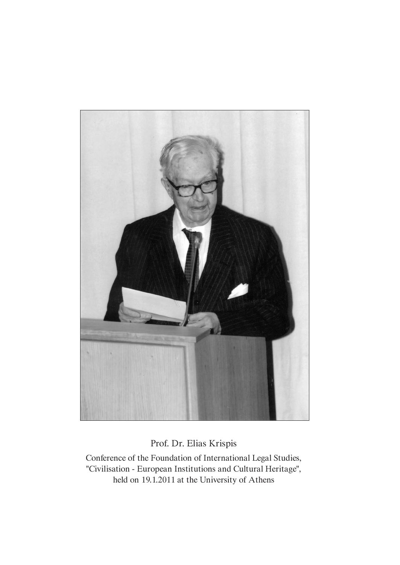

Prof. Dr. Elias Krispis

Conference of the Foundation of International Legal Studies, "Civilisation - European Institutions and Cultural Heritage", held on 19.1.2011 at the University of Athens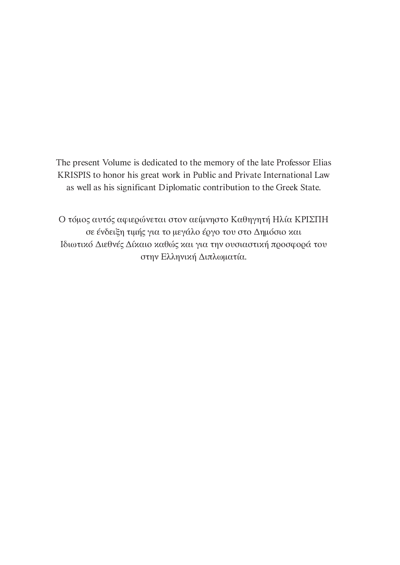The present Volume is dedicated to the memory of the late Professor Elias KRISPIS to honor his great work in Public and Private International Law as well as his significant Diplomatic contribution to the Greek State.

Ο τόμος αυτός αφιερώνεται στον αείμνηστο Καθηγητή Ηλία ΚΡΙΣΠΗ σε ένδειξη τιμής για το μεγάλο έργο του στο ∆ημόσιο και Iδιωτικό ∆ιεθνές ∆ίκαιο καθώς και για την ουσιαστική προσφορά του στην Ελληνική ∆ιπλωματία.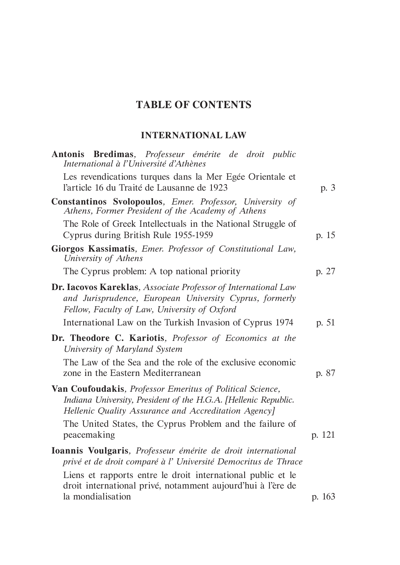### **TABLE OF CONTENTS**

### **INTERNATIONAL LAW**

| Antonis Bredimas, Professeur émérite de droit public<br>International à l'Université d'Athènes                                                                                              |        |
|---------------------------------------------------------------------------------------------------------------------------------------------------------------------------------------------|--------|
| Les revendications turques dans la Mer Egée Orientale et<br>l'article 16 du Traité de Lausanne de 1923                                                                                      | p. 3   |
| Constantinos Svolopoulos, Emer. Professor, University of<br>Athens, Former President of the Academy of Athens                                                                               |        |
| The Role of Greek Intellectuals in the National Struggle of<br>Cyprus during British Rule 1955-1959                                                                                         | p. 15  |
| Giorgos Kassimatis, Emer. Professor of Constitutional Law,<br>University of Athens                                                                                                          |        |
| The Cyprus problem: A top national priority                                                                                                                                                 | p. 27  |
| <b>Dr. Iacovos Kareklas</b> , Associate Professor of International Law<br>and Jurisprudence, European University Cyprus, formerly<br>Fellow, Faculty of Law, University of Oxford           |        |
| International Law on the Turkish Invasion of Cyprus 1974                                                                                                                                    | p. 51  |
| Dr. Theodore C. Kariotis, Professor of Economics at the<br>University of Maryland System                                                                                                    |        |
| The Law of the Sea and the role of the exclusive economic<br>zone in the Eastern Mediterranean                                                                                              | p. 87  |
| <b>Van Coufoudakis, Professor Emeritus of Political Science,</b><br>Indiana University, President of the H.G.A. [Hellenic Republic.<br>Hellenic Quality Assurance and Accreditation Agency] |        |
| The United States, the Cyprus Problem and the failure of<br>peacemaking                                                                                                                     | p. 121 |
| Ioannis Voulgaris, Professeur émérite de droit international<br>privé et de droit comparé à l' Université Democritus de Thrace                                                              |        |
| Liens et rapports entre le droit international public et le<br>droit international privé, notamment aujourd'hui à l'ère de                                                                  |        |
| la mondialisation                                                                                                                                                                           | p. 163 |